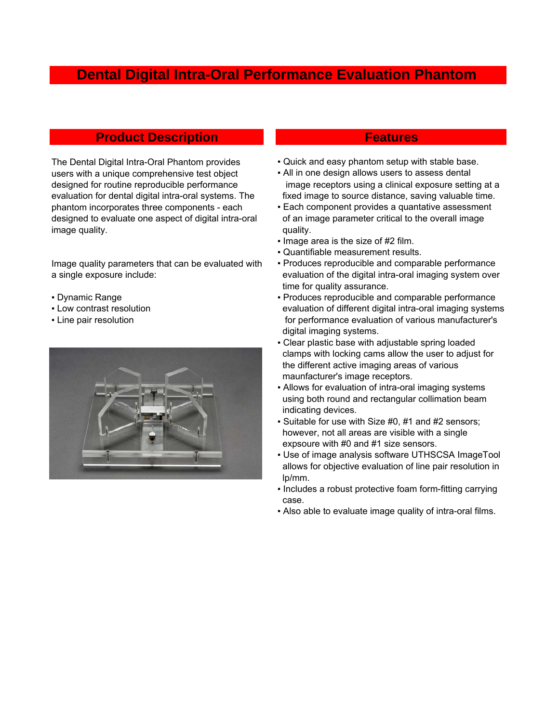# **Dental Digital Intra-Oral Performance Evaluation Phantom**

# **Product Description And Allen Access Product Description**

The Dental Digital Intra-Oral Phantom provides users with a unique comprehensive test object designed for routine reproducible performance evaluation for dental digital intra-oral systems. The phantom incorporates three components - each designed to evaluate one aspect of digital intra-oral image quality.

Image quality parameters that can be evaluated with a single exposure include:

- 
- 
- 



- Quick and easy phantom setup with stable base.
- **All in one design allows users to assess dental**  image receptors using a clinical exposure setting at a fixed image to source distance, saving valuable time.
- **Each component provides a quantative assessment**  of an image parameter critical to the overall image quality.
- . Image area is the size of #2 film.
- Quantifiable measurement results.
- Produces reproducible and comparable performance evaluation of the digital intra-oral imaging system over time for quality assurance.
- Dynamic Range **The Comparable performance** Produces reproducible and comparable performance ▪ Low contrast resolution evaluation of different digital intra-oral imaging systems • Line pair resolution **for performance evaluation of various manufacturer's**  digital imaging systems.
	- Clear plastic base with adjustable spring loaded clamps with locking cams allow the user to adjust for the different active imaging areas of various maunfacturer's image receptors.
	- Allows for evaluation of intra-oral imaging systems using both round and rectangular collimation beam indicating devices.
	- Suitable for use with Size #0, #1 and #2 sensors; however, not all areas are visible with a single expsoure with #0 and #1 size sensors.
	- Use of image analysis software UTHSCSA ImageTool allows for objective evaluation of line pair resolution in lp/mm.
	- Includes a robust protective foam form-fitting carrying case.
	- Also able to evaluate image quality of intra-oral films.